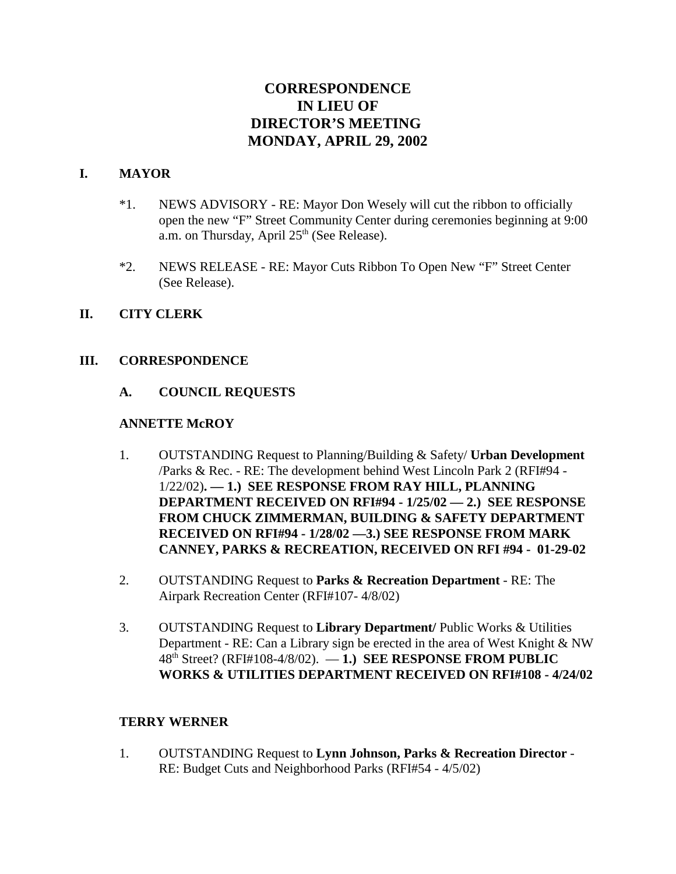# **CORRESPONDENCE IN LIEU OF DIRECTOR'S MEETING MONDAY, APRIL 29, 2002**

#### **I. MAYOR**

- \*1. NEWS ADVISORY RE: Mayor Don Wesely will cut the ribbon to officially open the new "F" Street Community Center during ceremonies beginning at 9:00 a.m. on Thursday, April  $25<sup>th</sup>$  (See Release).
- \*2. NEWS RELEASE RE: Mayor Cuts Ribbon To Open New "F" Street Center (See Release).

#### **II. CITY CLERK**

#### **III. CORRESPONDENCE**

#### **A. COUNCIL REQUESTS**

#### **ANNETTE McROY**

- 1. OUTSTANDING Request to Planning/Building & Safety/ **Urban Development** /Parks & Rec. - RE: The development behind West Lincoln Park 2 (RFI#94 - 1/22/02)**. — 1.) SEE RESPONSE FROM RAY HILL, PLANNING DEPARTMENT RECEIVED ON RFI#94 - 1/25/02 — 2.) SEE RESPONSE FROM CHUCK ZIMMERMAN, BUILDING & SAFETY DEPARTMENT RECEIVED ON RFI#94 - 1/28/02 —3.) SEE RESPONSE FROM MARK CANNEY, PARKS & RECREATION, RECEIVED ON RFI #94 - 01-29-02**
- 2. OUTSTANDING Request to **Parks & Recreation Department** RE: The Airpark Recreation Center (RFI#107- 4/8/02)
- 3. OUTSTANDING Request to **Library Department/** Public Works & Utilities Department - RE: Can a Library sign be erected in the area of West Knight & NW 48th Street? (RFI#108-4/8/02). — **1.) SEE RESPONSE FROM PUBLIC WORKS & UTILITIES DEPARTMENT RECEIVED ON RFI#108 - 4/24/02**

#### **TERRY WERNER**

1. OUTSTANDING Request to **Lynn Johnson, Parks & Recreation Director** - RE: Budget Cuts and Neighborhood Parks (RFI#54 - 4/5/02)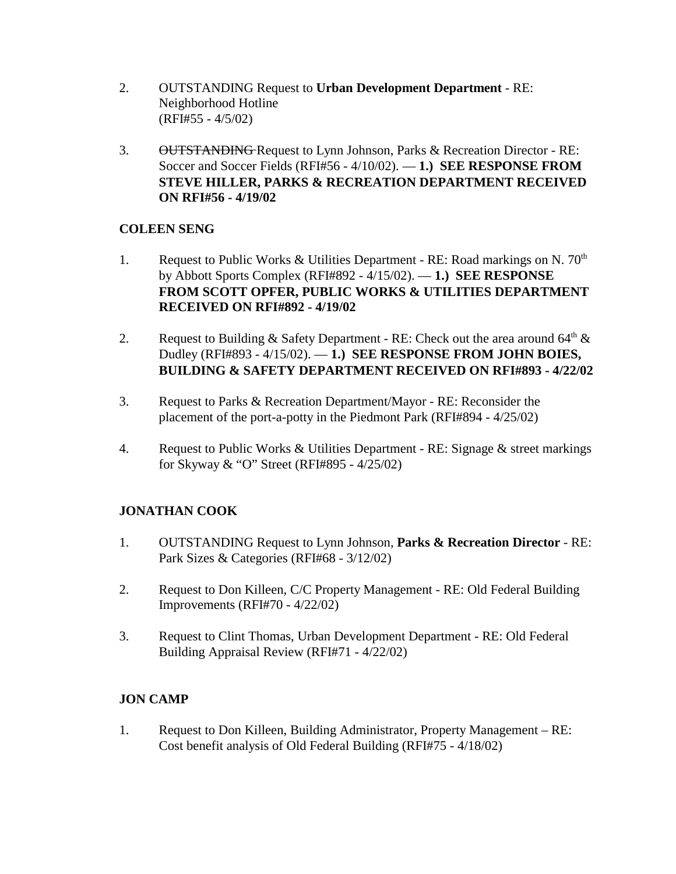- 2. OUTSTANDING Request to **Urban Development Department** RE: Neighborhood Hotline (RFI#55 - 4/5/02)
- 3. OUTSTANDING Request to Lynn Johnson, Parks & Recreation Director RE: Soccer and Soccer Fields (RFI#56 - 4/10/02). — **1.) SEE RESPONSE FROM STEVE HILLER, PARKS & RECREATION DEPARTMENT RECEIVED ON RFI#56 - 4/19/02**

## **COLEEN SENG**

- 1. Request to Public Works & Utilities Department RE: Road markings on N.  $70<sup>th</sup>$ by Abbott Sports Complex (RFI#892 - 4/15/02). — **1.) SEE RESPONSE FROM SCOTT OPFER, PUBLIC WORKS & UTILITIES DEPARTMENT RECEIVED ON RFI#892 - 4/19/02**
- 2. Request to Building & Safety Department RE: Check out the area around  $64<sup>th</sup>$  & Dudley (RFI#893 - 4/15/02). — **1.) SEE RESPONSE FROM JOHN BOIES, BUILDING & SAFETY DEPARTMENT RECEIVED ON RFI#893 - 4/22/02**
- 3. Request to Parks & Recreation Department/Mayor RE: Reconsider the placement of the port-a-potty in the Piedmont Park (RFI#894 - 4/25/02)
- 4. Request to Public Works & Utilities Department RE: Signage & street markings for Skyway & "O" Street (RFI#895 - 4/25/02)

## **JONATHAN COOK**

- 1. OUTSTANDING Request to Lynn Johnson, **Parks & Recreation Director** RE: Park Sizes & Categories (RFI#68 - 3/12/02)
- 2. Request to Don Killeen, C/C Property Management RE: Old Federal Building Improvements (RFI#70 - 4/22/02)
- 3. Request to Clint Thomas, Urban Development Department RE: Old Federal Building Appraisal Review (RFI#71 - 4/22/02)

### **JON CAMP**

1. Request to Don Killeen, Building Administrator, Property Management – RE: Cost benefit analysis of Old Federal Building (RFI#75 - 4/18/02)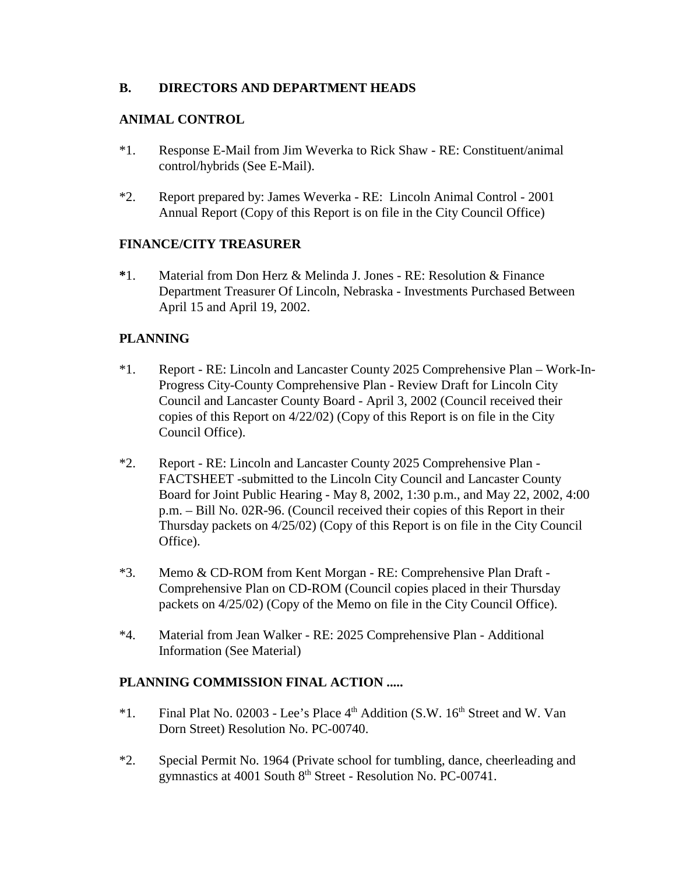### **B. DIRECTORS AND DEPARTMENT HEADS**

## **ANIMAL CONTROL**

- \*1. Response E-Mail from Jim Weverka to Rick Shaw RE: Constituent/animal control/hybrids (See E-Mail).
- \*2. Report prepared by: James Weverka RE: Lincoln Animal Control 2001 Annual Report (Copy of this Report is on file in the City Council Office)

## **FINANCE/CITY TREASURER**

**\***1. Material from Don Herz & Melinda J. Jones - RE: Resolution & Finance Department Treasurer Of Lincoln, Nebraska - Investments Purchased Between April 15 and April 19, 2002.

## **PLANNING**

- \*1. Report RE: Lincoln and Lancaster County 2025 Comprehensive Plan Work-In-Progress City-County Comprehensive Plan - Review Draft for Lincoln City Council and Lancaster County Board - April 3, 2002 (Council received their copies of this Report on 4/22/02) (Copy of this Report is on file in the City Council Office).
- \*2. Report RE: Lincoln and Lancaster County 2025 Comprehensive Plan FACTSHEET -submitted to the Lincoln City Council and Lancaster County Board for Joint Public Hearing - May 8, 2002, 1:30 p.m., and May 22, 2002, 4:00 p.m. – Bill No. 02R-96. (Council received their copies of this Report in their Thursday packets on 4/25/02) (Copy of this Report is on file in the City Council Office).
- \*3. Memo & CD-ROM from Kent Morgan RE: Comprehensive Plan Draft Comprehensive Plan on CD-ROM (Council copies placed in their Thursday packets on 4/25/02) (Copy of the Memo on file in the City Council Office).
- \*4. Material from Jean Walker RE: 2025 Comprehensive Plan Additional Information (See Material)

## **PLANNING COMMISSION FINAL ACTION .....**

- \*1. Final Plat No. 02003 Lee's Place  $4<sup>th</sup>$  Addition (S.W. 16<sup>th</sup> Street and W. Van Dorn Street) Resolution No. PC-00740.
- \*2. Special Permit No. 1964 (Private school for tumbling, dance, cheerleading and gymnastics at 4001 South 8<sup>th</sup> Street - Resolution No. PC-00741.